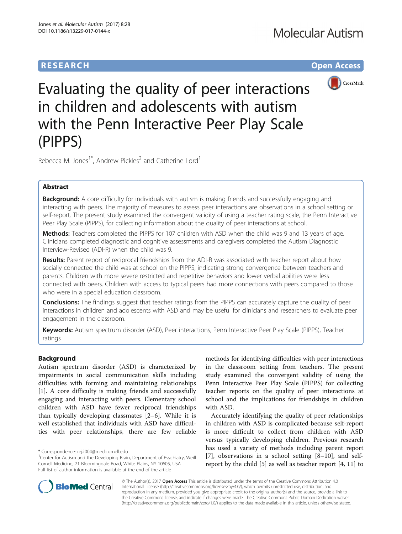# **RESEARCH CHE Open Access**



Evaluating the quality of peer interactions in children and adolescents with autism with the Penn Interactive Peer Play Scale (PIPPS)

Rebecca M. Jones<sup>1\*</sup>, Andrew Pickles<sup>2</sup> and Catherine Lord<sup>1</sup>

# Abstract

Background: A core difficulty for individuals with autism is making friends and successfully engaging and interacting with peers. The majority of measures to assess peer interactions are observations in a school setting or self-report. The present study examined the convergent validity of using a teacher rating scale, the Penn Interactive Peer Play Scale (PIPPS), for collecting information about the quality of peer interactions at school.

Methods: Teachers completed the PIPPS for 107 children with ASD when the child was 9 and 13 years of age. Clinicians completed diagnostic and cognitive assessments and caregivers completed the Autism Diagnostic Interview-Revised (ADI-R) when the child was 9.

Results: Parent report of reciprocal friendships from the ADI-R was associated with teacher report about how socially connected the child was at school on the PIPPS, indicating strong convergence between teachers and parents. Children with more severe restricted and repetitive behaviors and lower verbal abilities were less connected with peers. Children with access to typical peers had more connections with peers compared to those who were in a special education classroom.

**Conclusions:** The findings suggest that teacher ratings from the PIPPS can accurately capture the quality of peer interactions in children and adolescents with ASD and may be useful for clinicians and researchers to evaluate peer engagement in the classroom.

Keywords: Autism spectrum disorder (ASD), Peer interactions, Penn Interactive Peer Play Scale (PIPPS), Teacher ratings

# Background

Autism spectrum disorder (ASD) is characterized by impairments in social communication skills including difficulties with forming and maintaining relationships [[1\]](#page-7-0). A core difficulty is making friends and successfully engaging and interacting with peers. Elementary school children with ASD have fewer reciprocal friendships than typically developing classmates [\[2](#page-7-0)–[6\]](#page-7-0). While it is well established that individuals with ASD have difficulties with peer relationships, there are few reliable methods for identifying difficulties with peer interactions in the classroom setting from teachers. The present study examined the convergent validity of using the Penn Interactive Peer Play Scale (PIPPS) for collecting teacher reports on the quality of peer interactions at school and the implications for friendships in children with ASD.

Accurately identifying the quality of peer relationships in children with ASD is complicated because self-report is more difficult to collect from children with ASD versus typically developing children. Previous research has used a variety of methods including parent report [[7\]](#page-7-0), observations in a school setting [[8](#page-7-0)–[10\]](#page-7-0), and selfreport by the child [\[5](#page-7-0)] as well as teacher report [\[4](#page-7-0), [11](#page-7-0)] to



© The Author(s). 2017 **Open Access** This article is distributed under the terms of the Creative Commons Attribution 4.0 International License [\(http://creativecommons.org/licenses/by/4.0/](http://creativecommons.org/licenses/by/4.0/)), which permits unrestricted use, distribution, and reproduction in any medium, provided you give appropriate credit to the original author(s) and the source, provide a link to the Creative Commons license, and indicate if changes were made. The Creative Commons Public Domain Dedication waiver [\(http://creativecommons.org/publicdomain/zero/1.0/](http://creativecommons.org/publicdomain/zero/1.0/)) applies to the data made available in this article, unless otherwise stated.

<sup>\*</sup> Correspondence: [rej2004@med.cornell.edu](mailto:rej2004@med.cornell.edu) <sup>1</sup>

<sup>&</sup>lt;sup>1</sup> Center for Autism and the Developing Brain, Department of Psychiatry, Weill Cornell Medicine, 21 Bloomingdale Road, White Plains, NY 10605, USA Full list of author information is available at the end of the article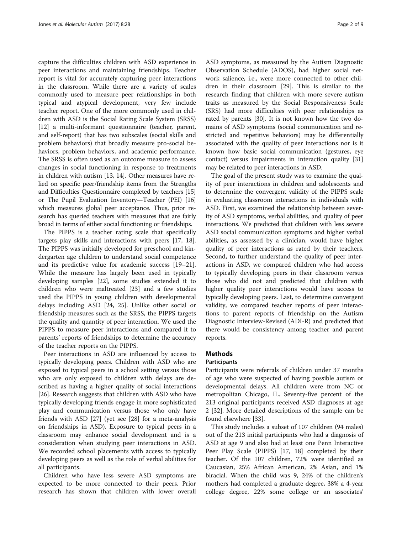capture the difficulties children with ASD experience in peer interactions and maintaining friendships. Teacher report is vital for accurately capturing peer interactions in the classroom. While there are a variety of scales commonly used to measure peer relationships in both typical and atypical development, very few include teacher report. One of the more commonly used in children with ASD is the Social Rating Scale System (SRSS) [[12\]](#page-7-0) a multi-informant questionnaire (teacher, parent, and self-report) that has two subscales (social skills and problem behaviors) that broadly measure pro-social behaviors, problem behaviors, and academic performance. The SRSS is often used as an outcome measure to assess changes in social functioning in response to treatments in children with autism [\[13](#page-7-0), [14](#page-7-0)]. Other measures have relied on specific peer/friendship items from the Strengths and Difficulties Questionnaire completed by teachers [[15](#page-7-0)] or The Pupil Evaluation Inventory—Teacher (PEI) [[16](#page-7-0)] which measures global peer acceptance. Thus, prior research has queried teachers with measures that are fairly broad in terms of either social functioning or friendships.

The PIPPS is a teacher rating scale that specifically targets play skills and interactions with peers [[17, 18](#page-7-0)]. The PIPPS was initially developed for preschool and kindergarten age children to understand social competence and its predictive value for academic success [[19](#page-7-0)–[21](#page-7-0)]. While the measure has largely been used in typically developing samples [\[22](#page-7-0)], some studies extended it to children who were maltreated [[23](#page-7-0)] and a few studies used the PIPPS in young children with developmental delays including ASD [\[24](#page-7-0), [25](#page-7-0)]. Unlike other social or friendship measures such as the SRSS, the PIPPS targets the quality and quantity of peer interaction. We used the PIPPS to measure peer interactions and compared it to parents' reports of friendships to determine the accuracy of the teacher reports on the PIPPS.

Peer interactions in ASD are influenced by access to typically developing peers. Children with ASD who are exposed to typical peers in a school setting versus those who are only exposed to children with delays are described as having a higher quality of social interactions [[26\]](#page-7-0). Research suggests that children with ASD who have typically developing friends engage in more sophisticated play and communication versus those who only have friends with ASD [\[27](#page-7-0)] (yet see [[28\]](#page-7-0) for a meta-analysis on friendships in ASD). Exposure to typical peers in a classroom may enhance social development and is a consideration when studying peer interactions in ASD. We recorded school placements with access to typically developing peers as well as the role of verbal abilities for all participants.

Children who have less severe ASD symptoms are expected to be more connected to their peers. Prior research has shown that children with lower overall ASD symptoms, as measured by the Autism Diagnostic Observation Schedule (ADOS), had higher social network salience, i.e., were more connected to other children in their classroom [\[29](#page-7-0)]. This is similar to the research finding that children with more severe autism traits as measured by the Social Responsiveness Scale (SRS) had more difficulties with peer relationships as rated by parents [[30\]](#page-7-0). It is not known how the two domains of ASD symptoms (social communication and restricted and repetitive behaviors) may be differentially associated with the quality of peer interactions nor is it known how basic social communication (gestures, eye contact) versus impairments in interaction quality [[31](#page-7-0)] may be related to peer interactions in ASD.

The goal of the present study was to examine the quality of peer interactions in children and adolescents and to determine the convergent validity of the PIPPS scale in evaluating classroom interactions in individuals with ASD. First, we examined the relationship between severity of ASD symptoms, verbal abilities, and quality of peer interactions. We predicted that children with less severe ASD social communication symptoms and higher verbal abilities, as assessed by a clinician, would have higher quality of peer interactions as rated by their teachers. Second, to further understand the quality of peer interactions in ASD, we compared children who had access to typically developing peers in their classroom versus those who did not and predicted that children with higher quality peer interactions would have access to typically developing peers. Last, to determine convergent validity, we compared teacher reports of peer interactions to parent reports of friendship on the Autism Diagnostic Interview-Revised (ADI-R) and predicted that there would be consistency among teacher and parent reports.

# Methods

## Participants

Participants were referrals of children under 37 months of age who were suspected of having possible autism or developmental delays. All children were from NC or metropolitan Chicago, IL. Seventy-five percent of the 213 original participants received ASD diagnoses at age 2 [[32](#page-7-0)]. More detailed descriptions of the sample can be found elsewhere [\[33](#page-7-0)].

This study includes a subset of 107 children (94 males) out of the 213 initial participants who had a diagnosis of ASD at age 9 and also had at least one Penn Interactive Peer Play Scale (PIPPS) [[17](#page-7-0), [18](#page-7-0)] completed by their teacher. Of the 107 children, 72% were identified as Caucasian, 25% African American, 2% Asian, and 1% biracial. When the child was 9, 24% of the children's mothers had completed a graduate degree, 38% a 4-year college degree, 22% some college or an associates'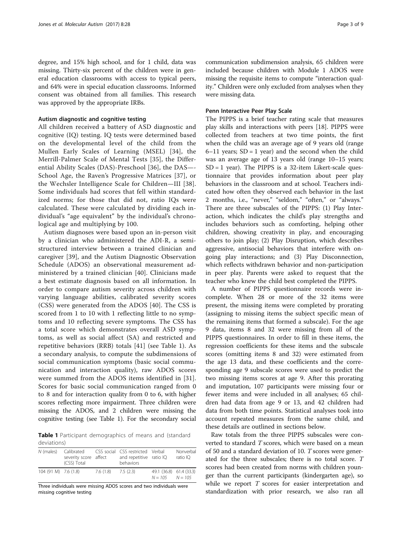degree, and 15% high school, and for 1 child, data was missing. Thirty-six percent of the children were in general education classrooms with access to typical peers, and 64% were in special education classrooms. Informed consent was obtained from all families. This research was approved by the appropriate IRBs.

### Autism diagnostic and cognitive testing

All children received a battery of ASD diagnostic and cognitive (IQ) testing. IQ tests were determined based on the developmental level of the child from the Mullen Early Scales of Learning (MSEL) [[34](#page-7-0)], the Merrill-Palmer Scale of Mental Tests [[35\]](#page-7-0), the Differential Ability Scales (DAS)-Preschool [\[36\]](#page-7-0), the DAS—- School Age, the Raven's Progressive Matrices [[37\]](#page-7-0), or the Wechsler Intelligence Scale for Children—III [[38](#page-7-0)]. Some individuals had scores that fell within standardized norms; for those that did not, ratio IQs were calculated. These were calculated by dividing each individual's "age equivalent" by the individual's chronological age and multiplying by 100.

Autism diagnoses were based upon an in-person visit by a clinician who administered the ADI-R, a semistructured interview between a trained clinician and caregiver [\[39\]](#page-7-0), and the Autism Diagnostic Observation Schedule (ADOS) an observational measurement administered by a trained clinician [\[40](#page-7-0)]. Clinicians made a best estimate diagnosis based on all information. In order to compare autism severity across children with varying language abilities, calibrated severity scores (CSS) were generated from the ADOS [[40](#page-7-0)]. The CSS is scored from 1 to 10 with 1 reflecting little to no symptoms and 10 reflecting severe symptoms. The CSS has a total score which demonstrates overall ASD symptoms, as well as social affect (SA) and restricted and repetitive behaviors (RRB) totals [[41](#page-7-0)] (see Table 1). As a secondary analysis, to compute the subdimensions of social communication symptoms (basic social communication and interaction quality), raw ADOS scores were summed from the ADOS items identified in [[31](#page-7-0)]. Scores for basic social communication ranged from 0 to 8 and for interaction quality from 0 to 6, with higher scores reflecting more impairment. Three children were missing the ADOS, and 2 children were missing the cognitive testing (see Table 1). For the secondary social

Table 1 Participant demographics of means and (standard deviations)

| N (males)            | severity score affect<br>(CSS) Total |                       | Calibrated CSS social CSS restricted Verbal<br>and repetitive ratio IQ<br>behaviors |                                                | Nonverbal<br>ratio IO |
|----------------------|--------------------------------------|-----------------------|-------------------------------------------------------------------------------------|------------------------------------------------|-----------------------|
| 104 (91 M) 7.6 (1.8) |                                      | $7.6(1.8)$ $7.5(2.3)$ |                                                                                     | 49.1 (36.8) 61.4 (33.3)<br>$N = 105$ $N = 105$ |                       |

Three individuals were missing ADOS scores and two individuals were missing cognitive testing

communication subdimension analysis, 65 children were included because children with Module 1 ADOS were missing the requisite items to compute "interaction quality." Children were only excluded from analyses when they were missing data.

### Penn Interactive Peer Play Scale

The PIPPS is a brief teacher rating scale that measures play skills and interactions with peers [\[18](#page-7-0)]. PIPPS were collected from teachers at two time points, the first when the child was an average age of 9 years old (range  $6-11$  years;  $SD = 1$  year) and the second when the child was an average age of 13 years old (range 10–15 years;  $SD = 1$  year). The PIPPS is a 32-item Likert-scale questionnaire that provides information about peer play behaviors in the classroom and at school. Teachers indicated how often they observed each behavior in the last 2 months, i.e., "never," "seldom," "often," or "always." There are three subscales of the PIPPS: (1) Play Interaction, which indicates the child's play strengths and includes behaviors such as comforting, helping other children, showing creativity in play, and encouraging others to join play; (2) Play Disruption, which describes aggressive, antisocial behaviors that interfere with ongoing play interactions; and (3) Play Disconnection, which reflects withdrawn behavior and non-participation in peer play. Parents were asked to request that the teacher who knew the child best completed the PIPPS.

A number of PIPPS questionnaire records were incomplete. When 28 or more of the 32 items were present, the missing items were completed by prorating (assigning to missing items the subject specific mean of the remaining items that formed a subscale). For the age 9 data, items 8 and 32 were missing from all of the PIPPS questionnaires. In order to fill in these items, the regression coefficients for these items and the subscale scores (omitting items 8 and 32) were estimated from the age 13 data, and these coefficients and the corresponding age 9 subscale scores were used to predict the two missing items scores at age 9. After this prorating and imputation, 107 participants were missing four or fewer items and were included in all analyses; 65 children had data from age 9 or 13, and 42 children had data from both time points. Statistical analyses took into account repeated measures from the same child, and these details are outlined in sections below.

Raw totals from the three PIPPS subscales were converted to standard T scores, which were based on a mean of 50 and a standard deviation of 10. T scores were generated for the three subscales; there is no total score. T scores had been created from norms with children younger than the current participants (kindergarten age), so while we report  $T$  scores for easier interpretation and standardization with prior research, we also ran all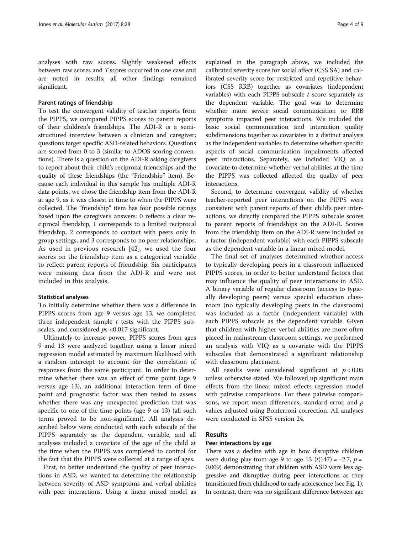analyses with raw scores. Slightly weakened effects between raw scores and T scores occurred in one case and are noted in results; all other findings remained significant.

### Parent ratings of friendship

To test the convergent validity of teacher reports from the PIPPS, we compared PIPPS scores to parent reports of their children's friendships. The ADI-R is a semistructured interview between a clinician and caregiver; questions target specific ASD-related behaviors. Questions are scored from 0 to 3 (similar to ADOS scoring conventions). There is a question on the ADI-R asking caregivers to report about their child's reciprocal friendships and the quality of these friendships (the "Friendship" item). Because each individual in this sample has multiple ADI-R data points, we chose the friendship item from the ADI-R at age 9, as it was closest in time to when the PIPPS were collected. The "friendship" item has four possible ratings based upon the caregiver's answers: 0 reflects a clear reciprocal friendship, 1 corresponds to a limited reciprocal friendship, 2 corresponds to contact with peers only in group settings, and 3 corresponds to no peer relationships. As used in previous research [[42](#page-7-0)], we used the four scores on the friendship item as a categorical variable to reflect parent reports of friendship. Six participants were missing data from the ADI-R and were not included in this analysis.

### Statistical analyses

To initially determine whether there was a difference in PIPPS scores from age 9 versus age 13, we completed three independent sample  $t$  tests with the PIPPS subscales, and considered *ps* <0.017 significant.

Ultimately to increase power, PIPPS scores from ages 9 and 13 were analyzed together, using a linear mixed regression model estimated by maximum likelihood with a random intercept to account for the correlation of responses from the same participant. In order to determine whether there was an effect of time point (age 9 versus age 13), an additional interaction term of time point and prognostic factor was then tested to assess whether there was any unexpected prediction that was specific to one of the time points (age 9 or 13) (all such terms proved to be non-significant). All analyses described below were conducted with each subscale of the PIPPS separately as the dependent variable, and all analyses included a covariate of the age of the child at the time when the PIPPS was completed to control for the fact that the PIPPS were collected at a range of ages.

First, to better understand the quality of peer interactions in ASD, we wanted to determine the relationship between severity of ASD symptoms and verbal abilities with peer interactions. Using a linear mixed model as

explained in the paragraph above, we included the calibrated severity score for social affect (CSS SA) and calibrated severity score for restricted and repetitive behaviors (CSS RRB) together as covariates (independent variables) with each PIPPS subscale  $t$  score separately as the dependent variable. The goal was to determine whether more severe social communication or RRB symptoms impacted peer interactions. We included the basic social communication and interaction quality subdimensions together as covariates in a distinct analysis as the independent variables to determine whether specific aspects of social communication impairments affected peer interactions. Separately, we included VIQ as a covariate to determine whether verbal abilities at the time the PIPPS was collected affected the quality of peer interactions.

Second, to determine convergent validity of whether teacher-reported peer interactions on the PIPPS were consistent with parent reports of their child's peer interactions, we directly compared the PIPPS subscale scores to parent reports of friendships on the ADI-R. Scores from the friendship item on the ADI-R were included as a factor (independent variable) with each PIPPS subscale as the dependent variable in a linear mixed model.

The final set of analyses determined whether access to typically developing peers in a classroom influenced PIPPS scores, in order to better understand factors that may influence the quality of peer interactions in ASD. A binary variable of regular classroom (access to typically developing peers) versus special education classroom (no typically developing peers in the classroom) was included as a factor (independent variable) with each PIPPS subscale as the dependent variable. Given that children with higher verbal abilities are more often placed in mainstream classroom settings, we performed an analysis with VIQ as a covariate with the PIPPS subscales that demonstrated a significant relationship with classroom placement.

All results were considered significant at  $p < 0.05$ unless otherwise stated. We followed up significant main effects from the linear mixed effects regression model with pairwise comparisons. For these pairwise comparisons, we report mean differences, standard error, and  $p$ values adjusted using Bonferroni correction. All analyses were conducted in SPSS version 24.

# Results

### Peer interactions by age

There was a decline with age in how disruptive children were during play from age 9 to age 13 ( $t(147) = -2.7$ ,  $p =$ 0.009) demonstrating that children with ASD were less aggressive and disruptive during peer interactions as they transitioned from childhood to early adolescence (see Fig. [1](#page-4-0)). In contrast, there was no significant difference between age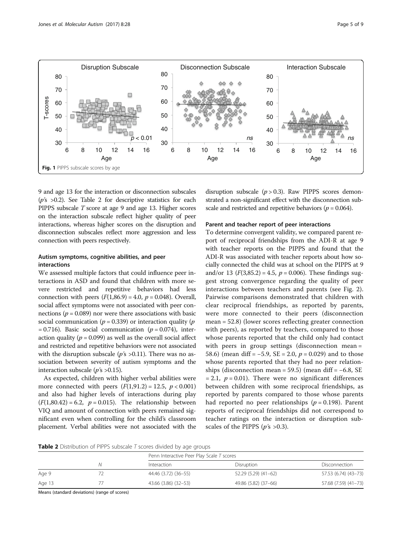<span id="page-4-0"></span>

9 and age 13 for the interaction or disconnection subscales  $(p's > 0.2)$ . See Table 2 for descriptive statistics for each PIPPS subscale T score at age 9 and age 13. Higher scores on the interaction subscale reflect higher quality of peer interactions, whereas higher scores on the disruption and disconnection subscales reflect more aggression and less connection with peers respectively.

# Autism symptoms, cognitive abilities, and peer interactions

We assessed multiple factors that could influence peer interactions in ASD and found that children with more severe restricted and repetitive behaviors had less connection with peers  $(F(1,86.9) = 4.0, p = 0.048)$ . Overall, social affect symptoms were not associated with peer connections ( $p = 0.089$ ) nor were there associations with basic social communication ( $p = 0.339$ ) or interaction quality ( $p$  $= 0.716$ ). Basic social communication ( $p = 0.074$ ), interaction quality ( $p = 0.099$ ) as well as the overall social affect and restricted and repetitive behaviors were not associated with the disruption subscale ( $p's > 0.11$ ). There was no association between severity of autism symptoms and the interaction subscale (p's >0.15).

As expected, children with higher verbal abilities were more connected with peers  $(F(1,91.2) = 12.5, p < 0.001)$ and also had higher levels of interactions during play  $(F(1,80.42) = 6.2, p = 0.015)$ . The relationship between VIQ and amount of connection with peers remained significant even when controlling for the child's classroom placement. Verbal abilities were not associated with the disruption subscale  $(p > 0.3)$ . Raw PIPPS scores demonstrated a non-significant effect with the disconnection subscale and restricted and repetitive behaviors ( $p = 0.064$ ).

## Parent and teacher report of peer interactions

To determine convergent validity, we compared parent report of reciprocal friendships from the ADI-R at age 9 with teacher reports on the PIPPS and found that the ADI-R was associated with teacher reports about how socially connected the child was at school on the PIPPS at 9 and/or 13  $(F(3,85.2) = 4.5, p = 0.006)$ . These findings suggest strong convergence regarding the quality of peer interactions between teachers and parents (see Fig. [2](#page-5-0)). Pairwise comparisons demonstrated that children with clear reciprocal friendships, as reported by parents, were more connected to their peers (disconnection mean = 52.8) (lower scores reflecting greater connection with peers), as reported by teachers, compared to those whose parents reported that the child only had contact with peers in group settings (disconnection mean = 58.6) (mean diff =  $-5.9$ , SE = 2.0,  $p = 0.029$ ) and to those whose parents reported that they had no peer relationships (disconnection mean = 59.5) (mean diff =  $-6.8$ , SE  $= 2.1, p = 0.01$ . There were no significant differences between children with some reciprocal friendships, as reported by parents compared to those whose parents had reported no peer relationships ( $p = 0.198$ ). Parent reports of reciprocal friendships did not correspond to teacher ratings on the interaction or disruption subscales of the PIPPS ( $p$ 's >0.3).

**Table 2** Distribution of PIPPS subscale  $T$  scores divided by age groups

|        |   |                      | Penn Interactive Peer Play Scale T scores |                      |  |  |
|--------|---|----------------------|-------------------------------------------|----------------------|--|--|
|        | Ν | Interaction          | Disruption                                | <b>Disconnection</b> |  |  |
| Age 9  |   | 44.46 (3.72) (36–55) | 52.29 (5.29) (41-62)                      | 57.53 (6.74) (43-73) |  |  |
| Age 13 |   | 43.66 (3.86) (32-53) | 49.86 (5.82) (37-66)                      | 57.68 (7.59) (41–73) |  |  |

Means (standard deviations) (range of scores)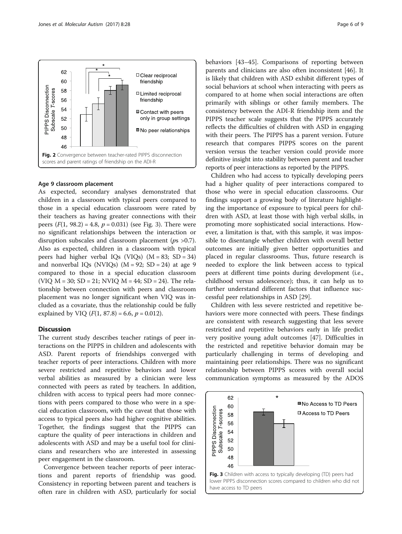

<span id="page-5-0"></span>

# Age 9 classroom placement

As expected, secondary analyses demonstrated that children in a classroom with typical peers compared to those in a special education classroom were rated by their teachers as having greater connections with their peers  $(F(1, 98.2) = 4.8, p = 0.031)$  (see Fig. 3). There were no significant relationships between the interaction or disruption subscales and classroom placement ( $p_s > 0.7$ ). Also as expected, children in a classroom with typical peers had higher verbal IQs (VIQs)  $(M = 83; SD = 34)$ and nonverbal IQs (NVIQs)  $(M = 92; SD = 24)$  at age 9 compared to those in a special education classroom (VIO  $M = 30$ ; SD = 21; NVIO  $M = 44$ ; SD = 24). The relationship between connection with peers and classroom placement was no longer significant when VIQ was included as a covariate, thus the relationship could be fully explained by VIQ  $(F(1, 87.8) = 6.6, p = 0.012)$ .

# **Discussion**

The current study describes teacher ratings of peer interactions on the PIPPS in children and adolescents with ASD. Parent reports of friendships converged with teacher reports of peer interactions. Children with more severe restricted and repetitive behaviors and lower verbal abilities as measured by a clinician were less connected with peers as rated by teachers. In addition, children with access to typical peers had more connections with peers compared to those who were in a special education classroom, with the caveat that those with access to typical peers also had higher cognitive abilities. Together, the findings suggest that the PIPPS can capture the quality of peer interactions in children and adolescents with ASD and may be a useful tool for clinicians and researchers who are interested in assessing peer engagement in the classroom.

Convergence between teacher reports of peer interactions and parent reports of friendship was good. Consistency in reporting between parent and teachers is often rare in children with ASD, particularly for social

behaviors [\[43](#page-7-0)–[45\]](#page-8-0). Comparisons of reporting between parents and clinicians are also often inconsistent [[46](#page-8-0)]. It is likely that children with ASD exhibit different types of social behaviors at school when interacting with peers as compared to at home when social interactions are often primarily with siblings or other family members. The consistency between the ADI-R friendship item and the PIPPS teacher scale suggests that the PIPPS accurately reflects the difficulties of children with ASD in engaging with their peers. The PIPPS has a parent version. Future research that compares PIPPS scores on the parent version versus the teacher version could provide more definitive insight into stability between parent and teacher reports of peer interactions as reported by the PIPPS.

Children who had access to typically developing peers had a higher quality of peer interactions compared to those who were in special education classrooms. Our findings support a growing body of literature highlighting the importance of exposure to typical peers for children with ASD, at least those with high verbal skills, in promoting more sophisticated social interactions. However, a limitation is that, with this sample, it was impossible to disentangle whether children with overall better outcomes are initially given better opportunities and placed in regular classrooms. Thus, future research is needed to explore the link between access to typical peers at different time points during development (i.e., childhood versus adolescence); thus, it can help us to further understand different factors that influence successful peer relationships in ASD [[29](#page-7-0)].

Children with less severe restricted and repetitive behaviors were more connected with peers. These findings are consistent with research suggesting that less severe restricted and repetitive behaviors early in life predict very positive young adult outcomes [[47\]](#page-8-0). Difficulties in the restricted and repetitive behavior domain may be particularly challenging in terms of developing and maintaining peer relationships. There was no significant relationship between PIPPS scores with overall social communication symptoms as measured by the ADOS

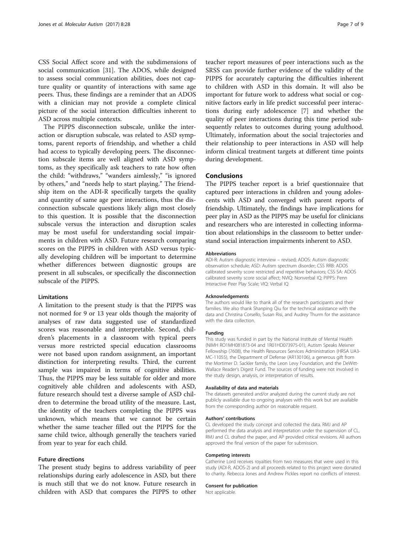CSS Social Affect score and with the subdimensions of social communication [[31](#page-7-0)]. The ADOS, while designed to assess social communication abilities, does not capture quality or quantity of interactions with same age peers. Thus, these findings are a reminder that an ADOS with a clinician may not provide a complete clinical picture of the social interaction difficulties inherent to ASD across multiple contexts.

The PIPPS disconnection subscale, unlike the interaction or disruption subscale, was related to ASD symptoms, parent reports of friendship, and whether a child had access to typically developing peers. The disconnection subscale items are well aligned with ASD symptoms, as they specifically ask teachers to rate how often the child: "withdraws," "wanders aimlessly," "is ignored by others," and "needs help to start playing." The friendship item on the ADI-R specifically targets the quality and quantity of same age peer interactions, thus the disconnection subscale questions likely align most closely to this question. It is possible that the disconnection subscale versus the interaction and disruption scales may be most useful for understanding social impairments in children with ASD. Future research comparing scores on the PIPPS in children with ASD versus typically developing children will be important to determine whether differences between diagnostic groups are present in all subscales, or specifically the disconnection subscale of the PIPPS.

### Limitations

A limitation to the present study is that the PIPPS was not normed for 9 or 13 year olds though the majority of analyses of raw data suggested use of standardized scores was reasonable and interpretable. Second, children's placements in a classroom with typical peers versus more restricted special education classrooms were not based upon random assignment, an important distinction for interpreting results. Third, the current sample was impaired in terms of cognitive abilities. Thus, the PIPPS may be less suitable for older and more cognitively able children and adolescents with ASD, future research should test a diverse sample of ASD children to determine the broad utility of the measure. Last, the identity of the teachers completing the PIPPS was unknown, which means that we cannot be certain whether the same teacher filled out the PIPPS for the same child twice, although generally the teachers varied from year to year for each child.

## Future directions

The present study begins to address variability of peer relationships during early adolescence in ASD, but there is much still that we do not know. Future research in children with ASD that compares the PIPPS to other teacher report measures of peer interactions such as the SRSS can provide further evidence of the validity of the PIPPS for accurately capturing the difficulties inherent to children with ASD in this domain. It will also be important for future work to address what social or cognitive factors early in life predict successful peer interactions during early adolescence [\[7](#page-7-0)] and whether the quality of peer interactions during this time period subsequently relates to outcomes during young adulthood. Ultimately, information about the social trajectories and their relationship to peer interactions in ASD will help inform clinical treatment targets at different time points during development.

## **Conclusions**

The PIPPS teacher report is a brief questionnaire that captured peer interactions in children and young adolescents with ASD and converged with parent reports of friendship. Ultimately, the findings have implications for peer play in ASD as the PIPPS may be useful for clinicians and researchers who are interested in collecting information about relationships in the classroom to better understand social interaction impairments inherent to ASD.

#### Abbreviations

ADI-R: Autism diagnostic interview – revised; ADOS: Autism diagnostic observation schedule; ASD: Autism spectrum disorder; CSS RRB: ADOS calibrated severity score restricted and repetitive behaviors; CSS SA: ADOS calibrated severity score social affect; NVIQ: Nonverbal IQ; PIPPS: Penn Interactive Peer Play Scale; VIQ: Verbal IQ

#### Acknowledgements

The authors would like to thank all of the research participants and their families. We also thank Shanping Qiu for the technical assistance with the data and Christina Corsello, Susan Risi, and Audrey Thurm for the assistance with the data collection.

### Funding

This study was funded in part by the National Institute of Mental Health (NIMH RO1MH081873-04 and 1R01HD073975-01), Autism Speaks Meixner Fellowship (7608), the Health Resources Services Administration (HRSA UA3- MC-11055), the Department of Defense (AR130106), a generous gift from the Mortimer D. Sackler family, the Leon Levy Foundation, and the DeWitt-Wallace Reader's Digest Fund. The sources of funding were not involved in the study design, analysis, or interpretation of results.

#### Availability of data and materials

The datasets generated and/or analyzed during the current study are not publicly available due to ongoing analyses with this work but are available from the corresponding author on reasonable request.

#### Authors' contributions

CL developed the study concept and collected the data. RMJ and AP performed the data analysis and interpretation under the supervision of CL, RMJ and CL drafted the paper, and AP provided critical revisions. All authors approved the final version of the paper for submission.

### Competing interests

Catherine Lord receives royalties from two measures that were used in this study (ADI-R, ADOS-2) and all proceeds related to this project were donated to charity. Rebecca Jones and Andrew Pickles report no conflicts of interest.

### Consent for publication

Not applicable.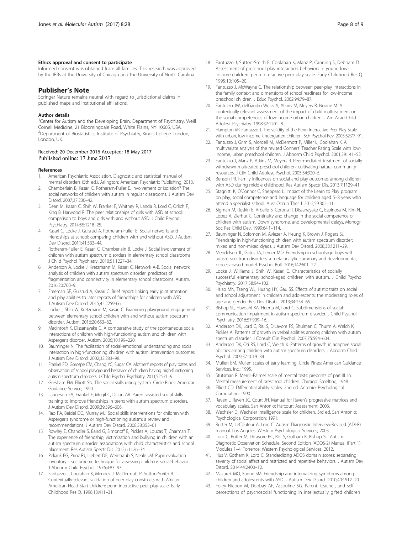### <span id="page-7-0"></span>Ethics approval and consent to participate

Informed consent was obtained from all families. This research was approved by the IRBs at the University of Chicago and the University of North Carolina.

### Publisher's Note

Springer Nature remains neutral with regard to jurisdictional claims in published maps and institutional affiliations.

#### Author details

<sup>1</sup> Center for Autism and the Developing Brain, Department of Psychiatry, Weill Cornell Medicine, 21 Bloomingdale Road, White Plains, NY 10605, USA. <sup>2</sup>Department of Biostatistics, Institute of Psychiatry, King's College London, London, UK.

### Received: 20 December 2016 Accepted: 18 May 2017 Published online: 17 June 2017

#### References

- 1. American Psychiatric Association. Diagnostic and statistical manual of mental disorders (5th ed.). Arlington: American Psychiatric Publishing; 2013.
- 2. Chamberlain B, Kasari C, Rotheram-Fuller E. Involvement or isolation? The social networks of children with autism in regular classrooms. J Autism Dev Disord. 2007;37:230–42.
- Dean M, Kasari C, Shih W, Frankel F, Whitney R, Landa R, Lord C, Orlich F, King B, Harwood R. The peer relationships of girls with ASD at school: comparison to boys and girls with and without ASD. J Child Psychol Psychiatry. 2014;55:1218–25.
- 4. Kasari C, Locke J, Gulsrud A, Rotheram-Fuller E. Social networks and friendships at school: comparing children with and without ASD. J Autism Dev Disord. 2011;41:533–44.
- 5. Rotheram-Fuller E, Kasari C, Chamberlain B, Locke J. Social involvement of children with autism spectrum disorders in elementary school classrooms. J Child Psychol Psychiatry. 2010;51:1227–34.
- 6. Anderson A, Locke J, Kretzmann M, Kasari C, Network A-B. Social network analysis of children with autism spectrum disorder: predictors of fragmentation and connectivity in elementary school classrooms. Autism. 2016;20:700–9.
- 7. Freeman SF, Gulsrud A, Kasari C. Brief report: linking early joint attention and play abilities to later reports of friendships for children with ASD. J Autism Dev Disord. 2015;45:2259-66.
- Locke J, Shih W, Kretzmann M, Kasari C. Examining playground engagement between elementary school children with and without autism spectrum disorder. Autism. 2016;20:653–62.
- 9. Macintosh K, Dissanayake C. A comparative study of the spontaneous social interactions of children with high-functioning autism and children with Asperger's disorder. Autism. 2006;10:199–220.
- 10. Bauminger N. The facilitation of social-emotional understanding and social interaction in high-functioning children with autism: intervention outcomes. J Autism Dev Disord. 2002;32:283–98.
- 11. Frankel FD, Gorospe CM, Chang YC, Sugar CA. Mothers' reports of play dates and observation of school playground behavior of children having high-functioning autism spectrum disorders. J Child Psychol Psychiatry. 2011;52:571–9.
- 12. Gresham FM, Elliott SN. The social skills rating system. Circle Pines: American Guidance Service; 1990.
- 13. Laugeson EA, Frankel F, Mogil C, Dillon AR. Parent-assisted social skills training to improve friendships in teens with autism spectrum disorders. J Autism Dev Disord. 2009;39:596–606.
- 14. Rao PA, Beidel DC, Murray MJ. Social skills interventions for children with Asperger's syndrome or high-functioning autism: a review and recommendations. J Autism Dev Disord. 2008;38:353–61.
- 15. Rowley E, Chandler S, Baird G, Simonoff E, Pickles A, Loucas T, Charman T. The experience of friendship, victimization and bullying in children with an autism spectrum disorder: associations with child characteristics and school placement. Res Autism Spectr Dis. 2012;6:1126–34.
- 16. Pekarik EG, Prinz RJ, Liebert DE, Weintraub S, Neale JM. Pupil evaluation inventory—sociometric technique for assessing childrens social-behavior. J Abnorm Child Psychol. 1976;4:83–97.
- 17. Fantuzzo J, Coolahan K, Mendez J, McDermott P, Sutton-Smith B. Contextually-relevant validation of peer play constructs with African American Head Start children: penn interactive peer play scale. Early Childhood Res Q. 1998;13:411–31.
- 18. Fantuzzo J, Sutton-Smith B, Coolahan K, Manz P, Canning S, Debnam D. Assessment of preschool play interaction behaviors in young lowincome children: penn interactive peer play scale. Early Childhood Res Q. 1995;10:105–20.
- 19. Fantuzzo J, McWayne C. The relationship between peer-play interactions in the family context and dimensions of school readiness for low-income preschool children. J Educ Psychol. 2002;94:79–87.
- 20. Fantuzzo JW, delGaudio Weiss A, Atkins M, Meyers R, Noone M. A contextually relevant assessment of the impact of child maltreatment on the social competencies of low-income urban children. J Am Acad Child Adolesc Psychiatry. 1998;37:1201–8.
- 21. Hampton VR, Fantuzzo J. The validity of the Penn Interactive Peer Play Scale with urban, low-income kindergarten children. Sch Psychol Rev. 2003;32:77–91.
- 22. Fantuzzo J, Grim S, Mordell M, McDermott P, Miller L, Coolahan K. A multivariate analysis of the revised Conners' Teacher Rating Scale with lowincome, urban preschool children. J Abnorm Child Psychol. 2001;29:141–52.
- 23. Fantuzzo J, Manz P, Atkins M, Meyers R. Peer-mediated treatment of socially withdrawn maltreated preschool children: cultivating natural community resources. J Clin Child Adolesc Psychol. 2005;34:320–5.
- 24. Benson PR. Family influences on social and play outcomes among children with ASD during middle childhood. Res Autism Spectr Dis. 2013;7:1129–41.
- 25. Stagnitti K, O'Connor C, Sheppard L. Impact of the Learn to Play program on play, social competence and language for children aged 5–8 years who attend a specialist school. Aust Occup Ther J. 2012;59:302–11.
- 26. Sigman M, Ruskin E, Arbeile S, Corona R, Dissanayake C, Espinosa M, Kim N, Lopez A, Zierhut C. Continuity and change in the social competence of children with autism, Down syndrome, and developmental delays. Monogr Soc Res Child Dev. 1999;64:1–114.
- 27. Bauminger N, Solomon M, Aviezer A, Heung K, Brown J, Rogers SJ. Friendship in high-functioning children with autism spectrum disorder: mixed and non-mixed dyads. J Autism Dev Disord. 2008;38:1211–29.
- 28. Mendelson JL, Gates JA, Lerner MD. Friendship in school-age boys with autism spectrum disorders: a meta-analytic summary and developmental, process-based model. Psychol Bull. 2016;142:601–22.
- 29. Locke J, Williams J, Shih W, Kasari C. Characteristics of socially successful elementary school-aged children with autism. J Child Psychol Psychiatry. 2017;58:94–102.
- 30. Hsiao MN, Tseng WL, Huang HY, Gau SS. Effects of autistic traits on social and school adjustment in children and adolescents: the moderating roles of age and gender. Res Dev Disabil. 2013;34:254–65.
- 31. Bishop SL, Havdahl KA, Huerta M, Lord C. Subdimensions of socialcommunication impairment in autism spectrum disorder. J Child Psychol Psychiatry. 2016;57:909–16.
- 32. Anderson DK, Lord C, Risi S, DiLavore PS, Shulman C, Thurm A, Welch K, Pickles A. Patterns of growth in verbal abilities among children with autism spectrum disorder. J Consult Clin Psychol. 2007;75:594–604.
- 33. Anderson DK, Oti RS, Lord C, Welch K. Patterns of growth in adaptive social abilities among children with autism spectrum disorders. J Abnorm Child Psychol. 2009;37:1019–34.
- 34. Mullen EM. Mullen scales of early learning. Circle Pines: American Guidance Services, Inc.; 1995.
- 35. Stutsman R. Merrill-Palmer scale of mental tests: preprints of part III. In: Mental measurement of preschool children. Chicago: Stoelting; 1948.
- 36. Elliott CD. Differential ability scales. 2nd ed. Antonio: Psychological Corporation; 1990.
- 37. Raven J, Raven JC, Court JH. Manual for Raven's progressive matrices and vocabulary scales. San Antonio: Harcourt Assessment; 2003.
- 38. Wechsler D. Wechsler intelligence scale for children. 3rd ed. San Antonio: Psychological Corporation; 1991.
- 39. Rutter M, LeCouteur A, Lord C. Autism Diagnostic Interview-Revised (ADI-R) manual. Los Angeles: Western Psychological Services; 2003.
- 40. Lord C, Rutter M, DiLavore PC, Risi S, Gotham K, Bishop SL. Autism Diagnostic Observation Schedule, Second Edition (ADOS-2) Manual (Part 1): Modules 1–4. Torrence: Western Psychological Services; 2012.
- 41. Hus V, Gotham K, Lord C. Standardizing ADOS domain scores: separating severity of social affect and restricted and repetitive behaviors. J Autism Dev Disord. 2014;44:2400–12.
- 42. Mazurek MO, Kanne SM. Friendship and internalizing symptoms among children and adolescents with ASD. J Autism Dev Disord. 2010;40:1512–20.
- 43. Foley Nicpon M, Doobay AF, Assouline SG. Parent, teacher, and self perceptions of psychosocial functioning in intellectually gifted children